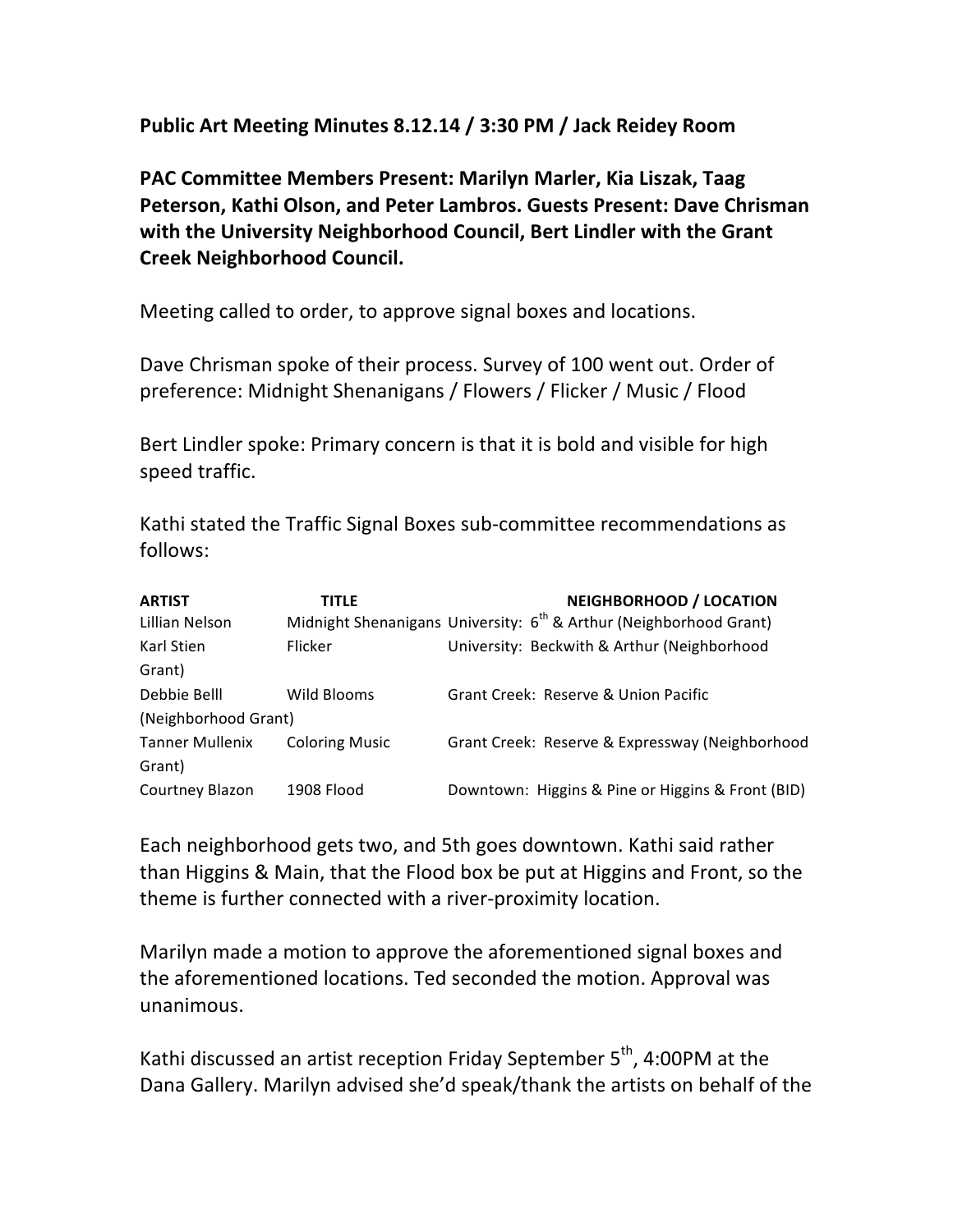Public Art Meeting Minutes 8.12.14 / 3:30 PM / Jack Reidey Room

PAC Committee Members Present: Marilyn Marler, Kia Liszak, Taag **Peterson, Kathi Olson, and Peter Lambros. Guests Present: Dave Chrisman** with the University Neighborhood Council, Bert Lindler with the Grant **Creek Neighborhood Council.**

Meeting called to order, to approve signal boxes and locations.

Dave Chrisman spoke of their process. Survey of 100 went out. Order of preference: Midnight Shenanigans / Flowers / Flicker / Music / Flood

Bert Lindler spoke: Primary concern is that it is bold and visible for high speed traffic.

Kathi stated the Traffic Signal Boxes sub-committee recommendations as follows:

| <b>ARTIST</b>          | TITLE                 | <b>NEIGHBORHOOD / LOCATION</b>                                                 |
|------------------------|-----------------------|--------------------------------------------------------------------------------|
| Lillian Nelson         |                       | Midnight Shenanigans University: 6 <sup>th</sup> & Arthur (Neighborhood Grant) |
| Karl Stien             | <b>Flicker</b>        | University: Beckwith & Arthur (Neighborhood                                    |
| Grant)                 |                       |                                                                                |
| Debbie Belll           | Wild Blooms           | Grant Creek: Reserve & Union Pacific                                           |
| (Neighborhood Grant)   |                       |                                                                                |
| <b>Tanner Mullenix</b> | <b>Coloring Music</b> | Grant Creek: Reserve & Expressway (Neighborhood                                |
| Grant)                 |                       |                                                                                |
| Courtney Blazon        | 1908 Flood            | Downtown: Higgins & Pine or Higgins & Front (BID)                              |

Each neighborhood gets two, and 5th goes downtown. Kathi said rather than Higgins & Main, that the Flood box be put at Higgins and Front, so the theme is further connected with a river-proximity location.

Marilyn made a motion to approve the aforementioned signal boxes and the aforementioned locations. Ted seconded the motion. Approval was unanimous.

Kathi discussed an artist reception Friday September  $5<sup>th</sup>$ , 4:00PM at the Dana Gallery. Marilyn advised she'd speak/thank the artists on behalf of the